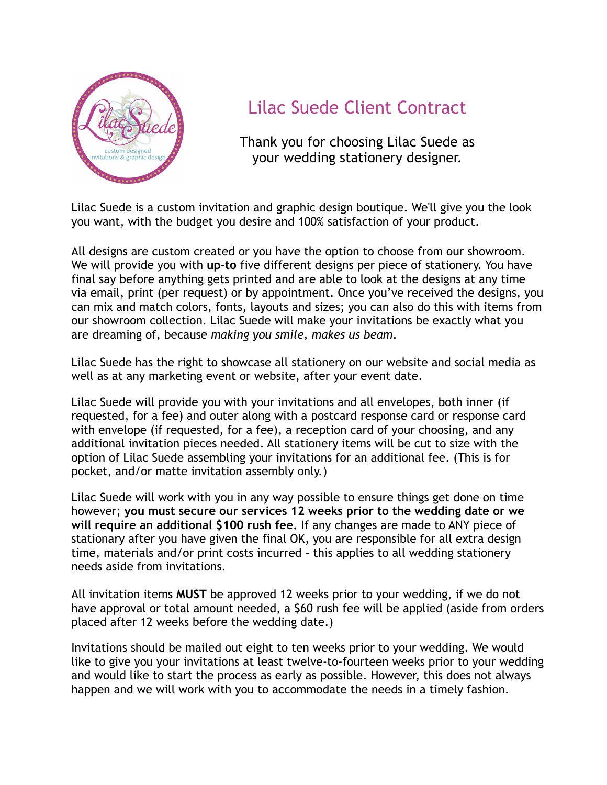

## Lilac Suede Client Contract

Thank you for choosing Lilac Suede as your wedding stationery designer.

Lilac Suede is a custom invitation and graphic design boutique. We'll give you the look you want, with the budget you desire and 100% satisfaction of your product.

All designs are custom created or you have the option to choose from our showroom. We will provide you with **up-to** five different designs per piece of stationery. You have final say before anything gets printed and are able to look at the designs at any time via email, print (per request) or by appointment. Once you've received the designs, you can mix and match colors, fonts, layouts and sizes; you can also do this with items from our showroom collection. Lilac Suede will make your invitations be exactly what you are dreaming of, because *making you smile, makes us beam*.

Lilac Suede has the right to showcase all stationery on our website and social media as well as at any marketing event or website, after your event date.

Lilac Suede will provide you with your invitations and all envelopes, both inner (if requested, for a fee) and outer along with a postcard response card or response card with envelope (if requested, for a fee), a reception card of your choosing, and any additional invitation pieces needed. All stationery items will be cut to size with the option of Lilac Suede assembling your invitations for an additional fee. (This is for pocket, and/or matte invitation assembly only.)

Lilac Suede will work with you in any way possible to ensure things get done on time however; **you must secure our services 12 weeks prior to the wedding date or we will require an additional \$100 rush fee.** If any changes are made to ANY piece of stationary after you have given the final OK, you are responsible for all extra design time, materials and/or print costs incurred – this applies to all wedding stationery needs aside from invitations.

All invitation items **MUST** be approved 12 weeks prior to your wedding, if we do not have approval or total amount needed, a \$60 rush fee will be applied (aside from orders placed after 12 weeks before the wedding date.)

Invitations should be mailed out eight to ten weeks prior to your wedding. We would like to give you your invitations at least twelve-to-fourteen weeks prior to your wedding and would like to start the process as early as possible. However, this does not always happen and we will work with you to accommodate the needs in a timely fashion.